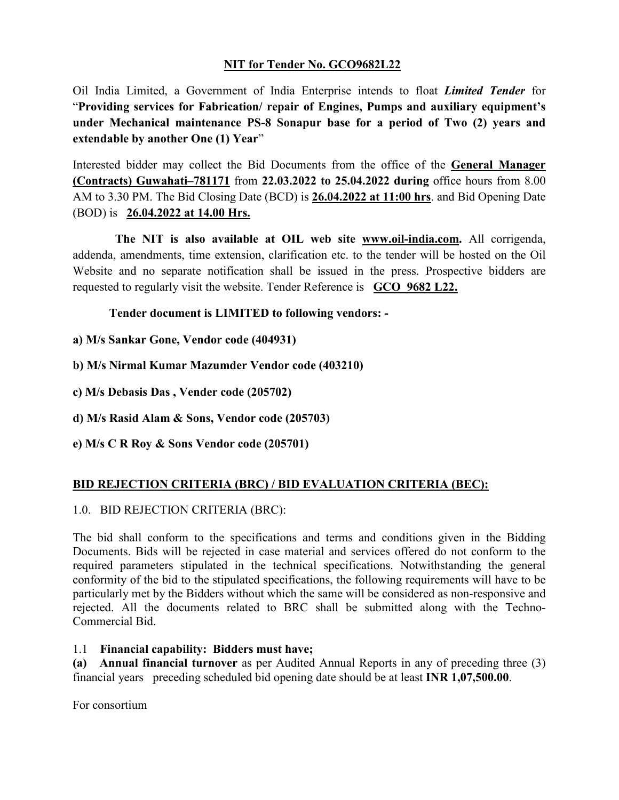## **NIT for Tender No. GCO9682L22**

Oil India Limited, a Government of India Enterprise intends to float *Limited Tender* for "**Providing services for Fabrication/ repair of Engines, Pumps and auxiliary equipment's under Mechanical maintenance PS-8 Sonapur base for a period of Two (2) years and extendable by another One (1) Year**"

Interested bidder may collect the Bid Documents from the office of the **General Manager (Contracts) Guwahati–781171** from **22.03.2022 to 25.04.2022 during** office hours from 8.00 AM to 3.30 PM. The Bid Closing Date (BCD) is **26.04.2022 at 11:00 hrs**. and Bid Opening Date (BOD) is **26.04.2022 at 14.00 Hrs.** 

 **The NIT is also available at OIL web site [www.oil-india.com.](http://www.oil-india.com/)** All corrigenda, addenda, amendments, time extension, clarification etc. to the tender will be hosted on the Oil Website and no separate notification shall be issued in the press. Prospective bidders are requested to regularly visit the website. Tender Reference is **GCO 9682 L22.**

**Tender document is LIMITED to following vendors: -** 

- **a) M/s Sankar Gone, Vendor code (404931)**
- **b) M/s Nirmal Kumar Mazumder Vendor code (403210)**
- **c) M/s Debasis Das , Vender code (205702)**
- **d) M/s Rasid Alam & Sons, Vendor code (205703)**
- **e) M/s C R Roy & Sons Vendor code (205701)**

# **BID REJECTION CRITERIA (BRC) / BID EVALUATION CRITERIA (BEC):**

## 1.0. BID REJECTION CRITERIA (BRC):

The bid shall conform to the specifications and terms and conditions given in the Bidding Documents. Bids will be rejected in case material and services offered do not conform to the required parameters stipulated in the technical specifications. Notwithstanding the general conformity of the bid to the stipulated specifications, the following requirements will have to be particularly met by the Bidders without which the same will be considered as non-responsive and rejected. All the documents related to BRC shall be submitted along with the Techno-Commercial Bid.

## 1.1 **Financial capability: Bidders must have;**

**(a) Annual financial turnover** as per Audited Annual Reports in any of preceding three (3) financial years preceding scheduled bid opening date should be at least **INR 1,07,500.00**.

For consortium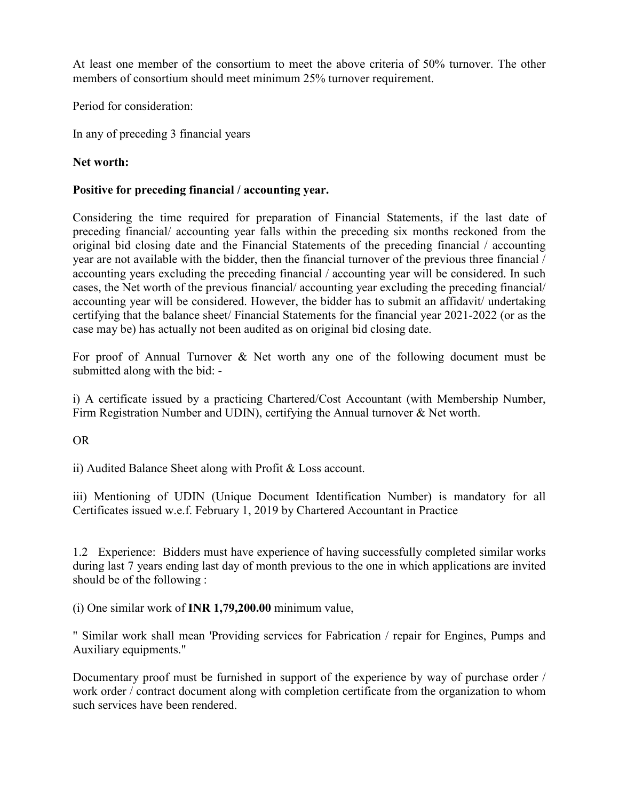At least one member of the consortium to meet the above criteria of 50% turnover. The other members of consortium should meet minimum 25% turnover requirement.

Period for consideration:

In any of preceding 3 financial years

# **Net worth:**

# **Positive for preceding financial / accounting year.**

Considering the time required for preparation of Financial Statements, if the last date of preceding financial/ accounting year falls within the preceding six months reckoned from the original bid closing date and the Financial Statements of the preceding financial / accounting year are not available with the bidder, then the financial turnover of the previous three financial / accounting years excluding the preceding financial / accounting year will be considered. In such cases, the Net worth of the previous financial/ accounting year excluding the preceding financial/ accounting year will be considered. However, the bidder has to submit an affidavit/ undertaking certifying that the balance sheet/ Financial Statements for the financial year 2021-2022 (or as the case may be) has actually not been audited as on original bid closing date.

For proof of Annual Turnover & Net worth any one of the following document must be submitted along with the bid: -

i) A certificate issued by a practicing Chartered/Cost Accountant (with Membership Number, Firm Registration Number and UDIN), certifying the Annual turnover & Net worth.

OR

ii) Audited Balance Sheet along with Profit & Loss account.

iii) Mentioning of UDIN (Unique Document Identification Number) is mandatory for all Certificates issued w.e.f. February 1, 2019 by Chartered Accountant in Practice

1.2 Experience: Bidders must have experience of having successfully completed similar works during last 7 years ending last day of month previous to the one in which applications are invited should be of the following :

(i) One similar work of **INR 1,79,200.00** minimum value,

" Similar work shall mean 'Providing services for Fabrication / repair for Engines, Pumps and Auxiliary equipments."

Documentary proof must be furnished in support of the experience by way of purchase order / work order / contract document along with completion certificate from the organization to whom such services have been rendered.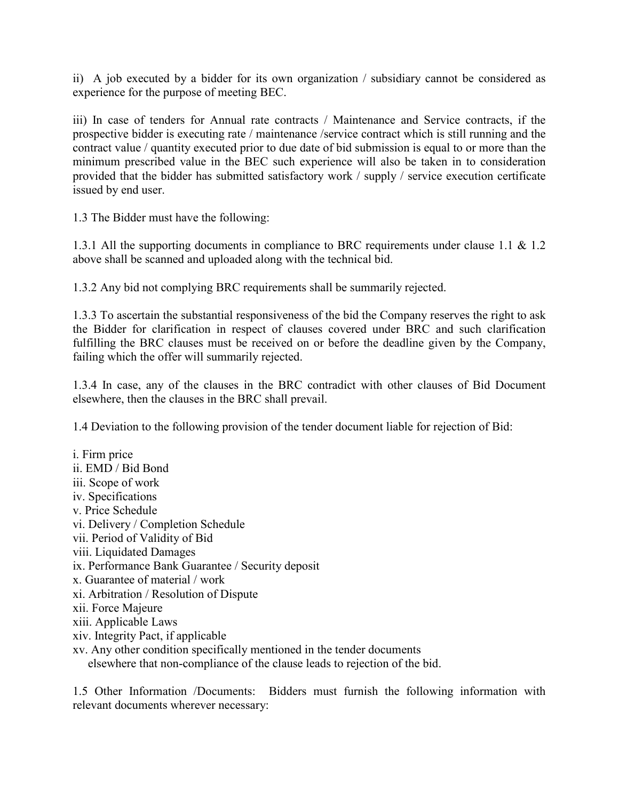ii) A job executed by a bidder for its own organization / subsidiary cannot be considered as experience for the purpose of meeting BEC.

iii) In case of tenders for Annual rate contracts / Maintenance and Service contracts, if the prospective bidder is executing rate / maintenance /service contract which is still running and the contract value / quantity executed prior to due date of bid submission is equal to or more than the minimum prescribed value in the BEC such experience will also be taken in to consideration provided that the bidder has submitted satisfactory work / supply / service execution certificate issued by end user.

1.3 The Bidder must have the following:

1.3.1 All the supporting documents in compliance to BRC requirements under clause 1.1 & 1.2 above shall be scanned and uploaded along with the technical bid.

1.3.2 Any bid not complying BRC requirements shall be summarily rejected.

1.3.3 To ascertain the substantial responsiveness of the bid the Company reserves the right to ask the Bidder for clarification in respect of clauses covered under BRC and such clarification fulfilling the BRC clauses must be received on or before the deadline given by the Company, failing which the offer will summarily rejected.

1.3.4 In case, any of the clauses in the BRC contradict with other clauses of Bid Document elsewhere, then the clauses in the BRC shall prevail.

1.4 Deviation to the following provision of the tender document liable for rejection of Bid:

i. Firm price ii. EMD / Bid Bond iii. Scope of work iv. Specifications v. Price Schedule vi. Delivery / Completion Schedule vii. Period of Validity of Bid viii. Liquidated Damages ix. Performance Bank Guarantee / Security deposit x. Guarantee of material / work xi. Arbitration / Resolution of Dispute xii. Force Majeure xiii. Applicable Laws xiv. Integrity Pact, if applicable xv. Any other condition specifically mentioned in the tender documents

elsewhere that non-compliance of the clause leads to rejection of the bid.

1.5 Other Information /Documents: Bidders must furnish the following information with relevant documents wherever necessary: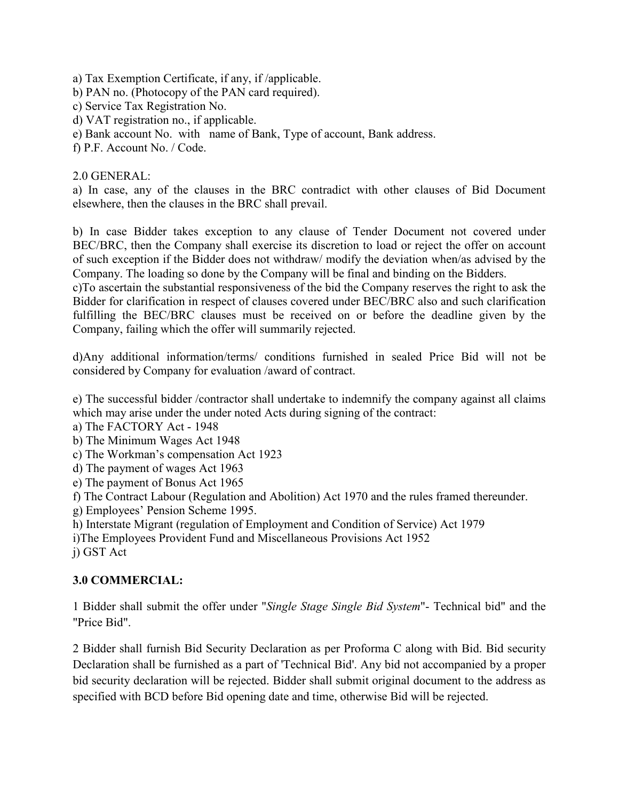- a) Tax Exemption Certificate, if any, if /applicable.
- b) PAN no. (Photocopy of the PAN card required).
- c) Service Tax Registration No.
- d) VAT registration no., if applicable.
- e) Bank account No. with name of Bank, Type of account, Bank address.
- f) P.F. Account No. / Code.

#### 2.0 GENERAL:

a) In case, any of the clauses in the BRC contradict with other clauses of Bid Document elsewhere, then the clauses in the BRC shall prevail.

b) In case Bidder takes exception to any clause of Tender Document not covered under BEC/BRC, then the Company shall exercise its discretion to load or reject the offer on account of such exception if the Bidder does not withdraw/ modify the deviation when/as advised by the Company. The loading so done by the Company will be final and binding on the Bidders.

c)To ascertain the substantial responsiveness of the bid the Company reserves the right to ask the Bidder for clarification in respect of clauses covered under BEC/BRC also and such clarification fulfilling the BEC/BRC clauses must be received on or before the deadline given by the Company, failing which the offer will summarily rejected.

d)Any additional information/terms/ conditions furnished in sealed Price Bid will not be considered by Company for evaluation /award of contract.

e) The successful bidder /contractor shall undertake to indemnify the company against all claims which may arise under the under noted Acts during signing of the contract:

- a) The FACTORY Act 1948
- b) The Minimum Wages Act 1948
- c) The Workman's compensation Act 1923
- d) The payment of wages Act 1963
- e) The payment of Bonus Act 1965
- f) The Contract Labour (Regulation and Abolition) Act 1970 and the rules framed thereunder.
- g) Employees' Pension Scheme 1995.
- h) Interstate Migrant (regulation of Employment and Condition of Service) Act 1979
- i)The Employees Provident Fund and Miscellaneous Provisions Act 1952
- j) GST Act

## **3.0 COMMERCIAL:**

1 Bidder shall submit the offer under "*Single Stage Single Bid System*"- Technical bid" and the "Price Bid".

2 Bidder shall furnish Bid Security Declaration as per Proforma C along with Bid. Bid security Declaration shall be furnished as a part of 'Technical Bid'. Any bid not accompanied by a proper bid security declaration will be rejected. Bidder shall submit original document to the address as specified with BCD before Bid opening date and time, otherwise Bid will be rejected.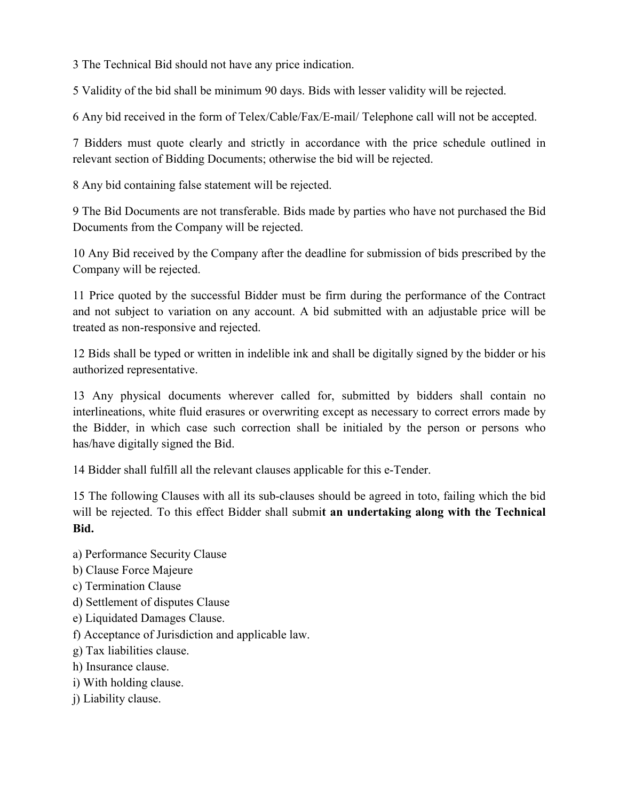3 The Technical Bid should not have any price indication.

5 Validity of the bid shall be minimum 90 days. Bids with lesser validity will be rejected.

6 Any bid received in the form of Telex/Cable/Fax/E-mail/ Telephone call will not be accepted.

7 Bidders must quote clearly and strictly in accordance with the price schedule outlined in relevant section of Bidding Documents; otherwise the bid will be rejected.

8 Any bid containing false statement will be rejected.

9 The Bid Documents are not transferable. Bids made by parties who have not purchased the Bid Documents from the Company will be rejected.

10 Any Bid received by the Company after the deadline for submission of bids prescribed by the Company will be rejected.

11 Price quoted by the successful Bidder must be firm during the performance of the Contract and not subject to variation on any account. A bid submitted with an adjustable price will be treated as non-responsive and rejected.

12 Bids shall be typed or written in indelible ink and shall be digitally signed by the bidder or his authorized representative.

13 Any physical documents wherever called for, submitted by bidders shall contain no interlineations, white fluid erasures or overwriting except as necessary to correct errors made by the Bidder, in which case such correction shall be initialed by the person or persons who has/have digitally signed the Bid.

14 Bidder shall fulfill all the relevant clauses applicable for this e-Tender.

15 The following Clauses with all its sub-clauses should be agreed in toto, failing which the bid will be rejected. To this effect Bidder shall submi**t an undertaking along with the Technical Bid.**

- a) Performance Security Clause
- b) Clause Force Majeure
- c) Termination Clause
- d) Settlement of disputes Clause
- e) Liquidated Damages Clause.
- f) Acceptance of Jurisdiction and applicable law.
- g) Tax liabilities clause.
- h) Insurance clause.
- i) With holding clause.
- j) Liability clause.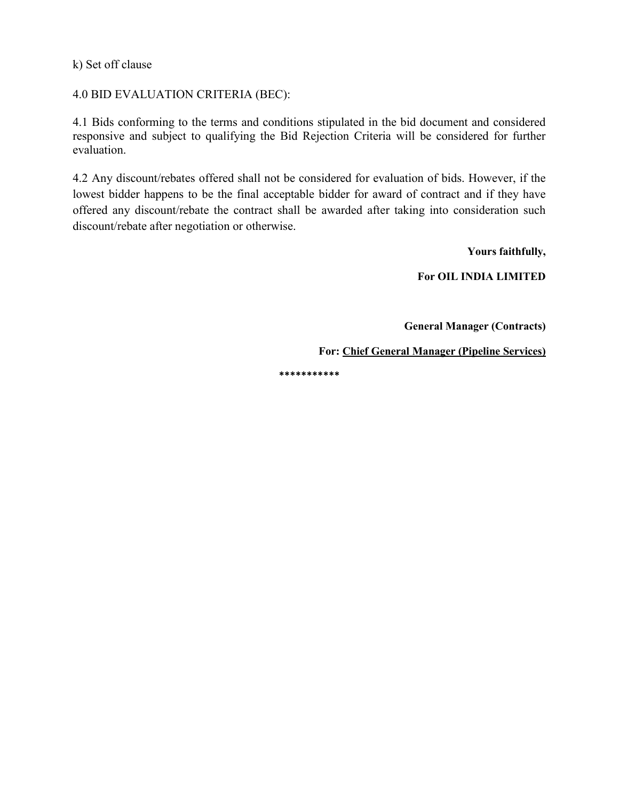k) Set off clause

4.0 BID EVALUATION CRITERIA (BEC):

4.1 Bids conforming to the terms and conditions stipulated in the bid document and considered responsive and subject to qualifying the Bid Rejection Criteria will be considered for further evaluation.

4.2 Any discount/rebates offered shall not be considered for evaluation of bids. However, if the lowest bidder happens to be the final acceptable bidder for award of contract and if they have offered any discount/rebate the contract shall be awarded after taking into consideration such discount/rebate after negotiation or otherwise.

 **Yours faithfully,**

**For OIL INDIA LIMITED**

 **General Manager (Contracts)**

**For: Chief General Manager (Pipeline Services)** 

**\*\*\*\*\*\*\*\*\*\*\***